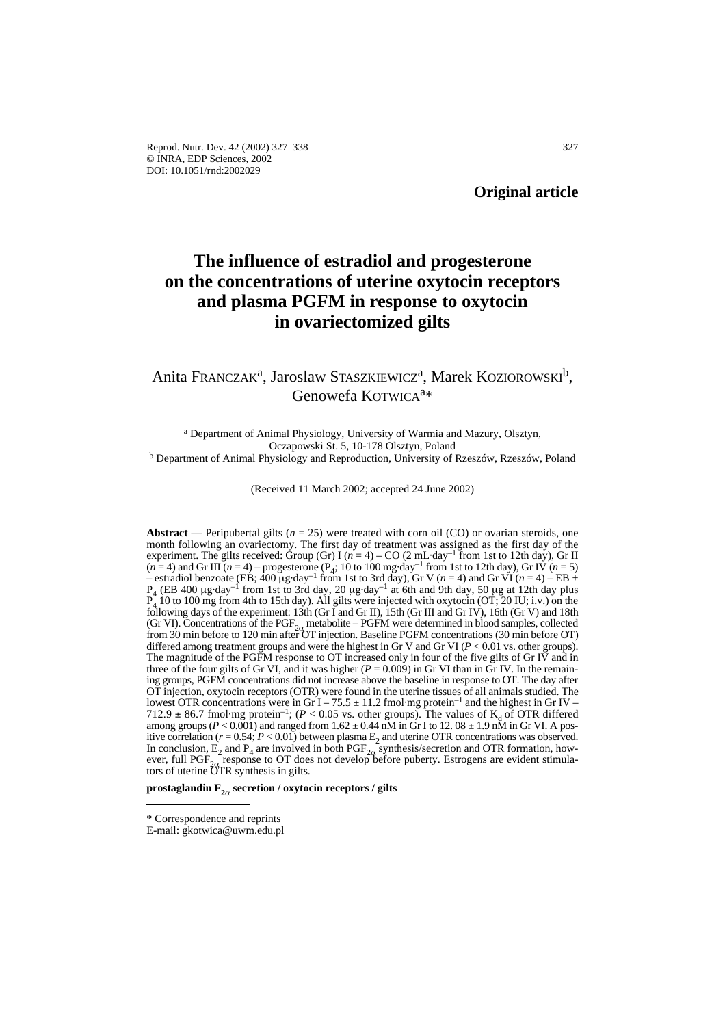# **The influence of estradiol and progesterone on the concentrations of uterine oxytocin receptors and plasma PGFM in response to oxytocin in ovariectomized gilts**

## Anita Franczak<sup>a</sup>, Jaroslaw Staszkiewicz<sup>a</sup>, Marek Koziorowski<sup>b</sup>, Genowefa KOTWICAa\*

<sup>a</sup> Department of Animal Physiology, University of Warmia and Mazury, Olsztyn, Oczapowski St. 5, 10-178 Olsztyn, Poland <sup>b</sup> Department of Animal Physiology and Reproduction, University of Rzeszów, Rzeszów, Poland

(Received 11 March 2002; accepted 24 June 2002)

**Abstract** — Peripubertal gilts  $(n = 25)$  were treated with corn oil (CO) or ovarian steroids, one month following an ovariectomy. The first day of treatment was assigned as the first day of the experiment. The gilts received: Group (Gr) I ( $n = 4$ ) – CO (2 mL·day<sup>-1</sup> from 1st to 12th day), Gr II  $(n=4)$  and Gr III  $(n=4)$  – progesterone  $(P_4; 10 \text{ to } 100 \text{ mg day}^{-1}$  from 1st to 12th day), Gr IV  $(n=5)$ – estradiol benzoate (EB;  $400 \mu g \cdot day^{-1}$  from 1st to 3rd day), Gr V ( $n = 4$ ) and Gr VI ( $n = 4$ ) – EB + P<sub>4</sub> (EB 400 µg·day<sup>-1</sup> from 1st to 3rd day, 20 µg·day<sup>-1</sup> at 6th and 9th day, 50 µg at 12th day plus  $P_4$  10 to 100 mg from 4th to 15th day). All gilts were injected with ovvtocin (OT: 20 H<sup>+</sup> i.v.) on the 10 to 100 mg from 4th to 15th day). All gilts were injected with oxytocin (OT; 20 IU; i.v.) on the following days of the experiment: 13th (Gr I and Gr II), 15th (Gr III and Gr IV), 16th (Gr V) and 18th (Gr VI). Concentrations of the  $PGF_{2\alpha}$  metabolite – PGFM were determined in blood samples, collected from 30 min before OT) differed among treatment groups and were the highest in Gr V and Gr VI (*P* < 0.01 vs. other groups). The magnitude of the PGFM response to OT increased only in four of the five gilts of Gr IV and in three of the four gilts of Gr VI, and it was higher ( $P = 0.009$ ) in Gr VI than in Gr IV. In the remaining groups, PGFM concentrations did not increase above the baseline in response to OT. The day after OT injection, oxytocin receptors (OTR) were found in the uterine tissues of all animals studied. The lowest OTR concentrations were in Gr I – 75.5  $\pm$  11.2 fmol·mg protein<sup>-1</sup> and the highest in Gr IV –  $712.9 \pm 86.7$  fmol·mg protein<sup>-1</sup>; (*P* < 0.05 vs. other groups). The values of K<sub>d</sub> of OTR differed among groups (*P* < 0.001) and ranged from 1.62  $\pm$  0.44 nM in Gr I to 12. 08  $\pm$  1.9 nM in Gr VI. A positive correlation ( $r = 0.54$ ;  $P < 0.01$ ) between plasma  $E_2$  and uterine OTR concentrations was observed. In conclusion,  $E_2$  and  $P_4$  are involved in both  $PGF_{2\alpha}$  synthesis/secretion and OTR formation, however, full PGF<sub>2 $\alpha$ </sub> response to OT does not develop before puberty. Estrogens are evident stimulators of uterine OTR synthesis in gilts.

**prostaglandin F2**<sup>a</sup> **secretion / oxytocin receptors / gilts** 

<sup>\*</sup> Correspondence and reprints

E-mail: gkotwica@uwm.edu.pl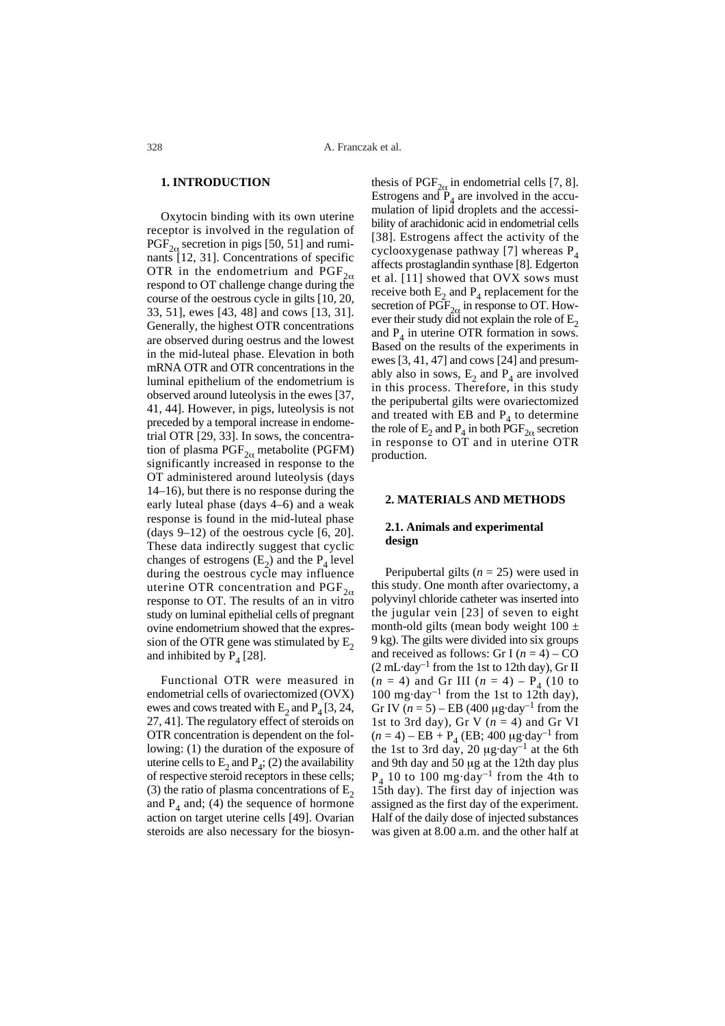## **1. INTRODUCTION**

Oxytocin binding with its own uterine receptor is involved in the regulation of  $PGF_{2\alpha}$  secretion in pigs [50, 51] and ruminants [12, 31]. Concentrations of specific OTR in the endometrium and  $PGF_{2\alpha}$ respond to OT challenge change during the course of the oestrous cycle in gilts [10, 20, 33, 51], ewes [43, 48] and cows [13, 31]. Generally, the highest OTR concentrations are observed during oestrus and the lowest in the mid-luteal phase. Elevation in both mRNA OTR and OTR concentrations in the luminal epithelium of the endometrium is observed around luteolysis in the ewes [37, 41, 44]. However, in pigs, luteolysis is not preceded by a temporal increase in endometrial OTR [29, 33]. In sows, the concentration of plasma  $PGF_{2\alpha}$  metabolite (PGFM) significantly increased in response to the OT administered around luteolysis (days 14–16), but there is no response during the early luteal phase (days 4–6) and a weak response is found in the mid-luteal phase (days  $9-12$ ) of the oestrous cycle [6, 20]. These data indirectly suggest that cyclic changes of estrogens  $(E_2)$  and the  $P_4$  level during the oestrous cycle may influence uterine OTR concentration and  $PGF_{2\alpha}$ response to OT. The results of an in vitro study on luminal epithelial cells of pregnant ovine endometrium showed that the expression of the OTR gene was stimulated by  $E<sub>2</sub>$ and inhibited by  $P_4$  [28].

Functional OTR were measured in endometrial cells of ovariectomized (OVX) ewes and cows treated with  $E_2$  and  $P_4$  [3, 24, 27, 41]. The regulatory effect of steroids on OTR concentration is dependent on the following: (1) the duration of the exposure of uterine cells to  $E_2$  and  $P_4$ ; (2) the availability of respective steroid receptors in these cells; (3) the ratio of plasma concentrations of  $E_2$ and  $P_4$  and; (4) the sequence of hormone action on target uterine cells [49]. Ovarian steroids are also necessary for the biosyn-

thesis of  $PGF_{2\alpha}$  in endometrial cells [7, 8]. Estrogens and  $P_4$  are involved in the accumulation of lipid droplets and the accessibility of arachidonic acid in endometrial cells [38]. Estrogens affect the activity of the cyclooxygenase pathway [7] whereas  $P_4$ affects prostaglandin synthase [8]. Edgerton et al. [11] showed that OVX sows must receive both  $E_2$  and  $P_4$  replacement for the secretion of  $\widehat{PGF}_{2\alpha}$  in response to OT. However their study did not explain the role of  $E<sub>2</sub>$ and  $P_4$  in uterine OTR formation in sows. Based on the results of the experiments in ewes [3, 41, 47] and cows [24] and presumably also in sows,  $E_2$  and  $P_4$  are involved in this process. Therefore, in this study the peripubertal gilts were ovariectomized and treated with EB and  $P_4$  to determine the role of  $E_2$  and  $P_4$  in both  $\overline{PGF}_{2\alpha}$  secretion in response to OT and in uterine OTR production.

## **2. MATERIALS AND METHODS**

## **2.1. Animals and experimental design**

Peripubertal gilts  $(n = 25)$  were used in this study. One month after ovariectomy, a polyvinyl chloride catheter was inserted into the jugular vein [23] of seven to eight month-old gilts (mean body weight  $100 \pm$ 9 kg). The gilts were divided into six groups and received as follows: Gr I  $(n = 4)$  – CO  $(2 \text{ mL-day}^{-1}$  from the 1st to 12th day), Gr II  $(n = 4)$  and Gr III  $(n = 4) - P_4$  (10 to 100 mg·day<sup>-1</sup> from the 1st to 12th day), Gr IV  $(n = 5)$  – EB (400 µg·day<sup>-1</sup> from the 1st to 3rd day), Gr V  $(n = 4)$  and Gr VI  $(n = 4) - EB + P<sub>4</sub> (EB; 400 \mu g \cdot day^{-1} from$ the 1st to 3rd day, 20  $\mu$ g·day<sup>-1</sup> at the 6th and 9th day and 50 µg at the 12th day plus  $P_4$  10 to 100 mg·day<sup>-1</sup> from the 4th to 15th day). The first day of injection was assigned as the first day of the experiment. Half of the daily dose of injected substances was given at 8.00 a.m. and the other half at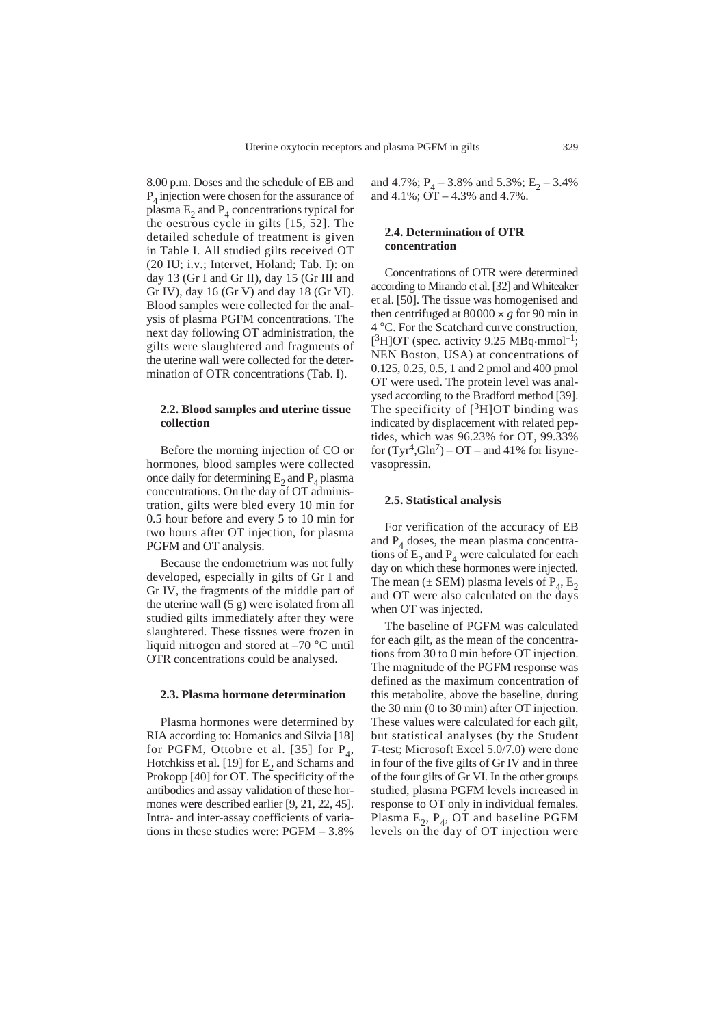8.00 p.m. Doses and the schedule of EB and  $P_4$  injection were chosen for the assurance of plasma  $E_2$  and  $P_4$  concentrations typical for the oestrous cycle in gilts [15, 52]. The detailed schedule of treatment is given in Table I. All studied gilts received OT (20 IU; i.v.; Intervet, Holand; Tab. I): on day 13 (Gr I and Gr II), day 15 (Gr III and Gr IV), day 16 (Gr V) and day 18 (Gr VI). Blood samples were collected for the analysis of plasma PGFM concentrations. The next day following OT administration, the gilts were slaughtered and fragments of the uterine wall were collected for the determination of OTR concentrations (Tab. I).

#### **2.2. Blood samples and uterine tissue collection**

Before the morning injection of CO or hormones, blood samples were collected once daily for determining  $E_2$  and  $P_4$  plasma concentrations. On the day of OT administration, gilts were bled every 10 min for 0.5 hour before and every 5 to 10 min for two hours after OT injection, for plasma PGFM and OT analysis.

Because the endometrium was not fully developed, especially in gilts of Gr I and Gr IV, the fragments of the middle part of the uterine wall (5 g) were isolated from all studied gilts immediately after they were slaughtered. These tissues were frozen in liquid nitrogen and stored at –70 °C until OTR concentrations could be analysed.

#### **2.3. Plasma hormone determination**

Plasma hormones were determined by RIA according to: Homanics and Silvia [18] for PGFM, Ottobre et al. [35] for  $P_4$ , Hotchkiss et al. [19] for  $E<sub>2</sub>$  and Schams and Prokopp [40] for OT. The specificity of the antibodies and assay validation of these hormones were described earlier [9, 21, 22, 45]. Intra- and inter-assay coefficients of variations in these studies were: PGFM – 3.8%

and 4.7%;  $P_A$  – 3.8% and 5.3%;  $E_2$  – 3.4% and  $4.1\%$ ;  $\overrightarrow{OT} - 4.3\%$  and  $4.7\%$ .

## **2.4. Determination of OTR concentration**

Concentrations of OTR were determined according to Mirando et al. [32] and Whiteaker et al. [50]. The tissue was homogenised and then centrifuged at  $80000 \times g$  for 90 min in 4 °C. For the Scatchard curve construction,  $[{}^{3}H]$ OT (spec. activity 9.25 MBq·mmol<sup>-1</sup>; NEN Boston, USA) at concentrations of 0.125, 0.25, 0.5, 1 and 2 pmol and 400 pmol OT were used. The protein level was analysed according to the Bradford method [39]. The specificity of  $[3H]$ OT binding was indicated by displacement with related peptides, which was 96.23% for OT, 99.33% for  $(Tyr^4, Gln^7)$  – OT – and 41% for lisynevasopressin.

#### **2.5. Statistical analysis**

For verification of the accuracy of EB and  $P_4$  doses, the mean plasma concentrations of  $E_2$  and  $P_4$  were calculated for each day on which these hormones were injected. The mean ( $\pm$  SEM) plasma levels of P<sub>4</sub>, E<sub>2</sub> and OT were also calculated on the days when OT was injected.

The baseline of PGFM was calculated for each gilt, as the mean of the concentrations from 30 to 0 min before OT injection. The magnitude of the PGFM response was defined as the maximum concentration of this metabolite, above the baseline, during the 30 min (0 to 30 min) after OT injection. These values were calculated for each gilt, but statistical analyses (by the Student *T*-test; Microsoft Excel 5.0/7.0) were done in four of the five gilts of Gr IV and in three of the four gilts of Gr VI. In the other groups studied, plasma PGFM levels increased in response to OT only in individual females. Plasma  $E_2$ ,  $P_4$ , OT and baseline PGFM levels on the day of OT injection were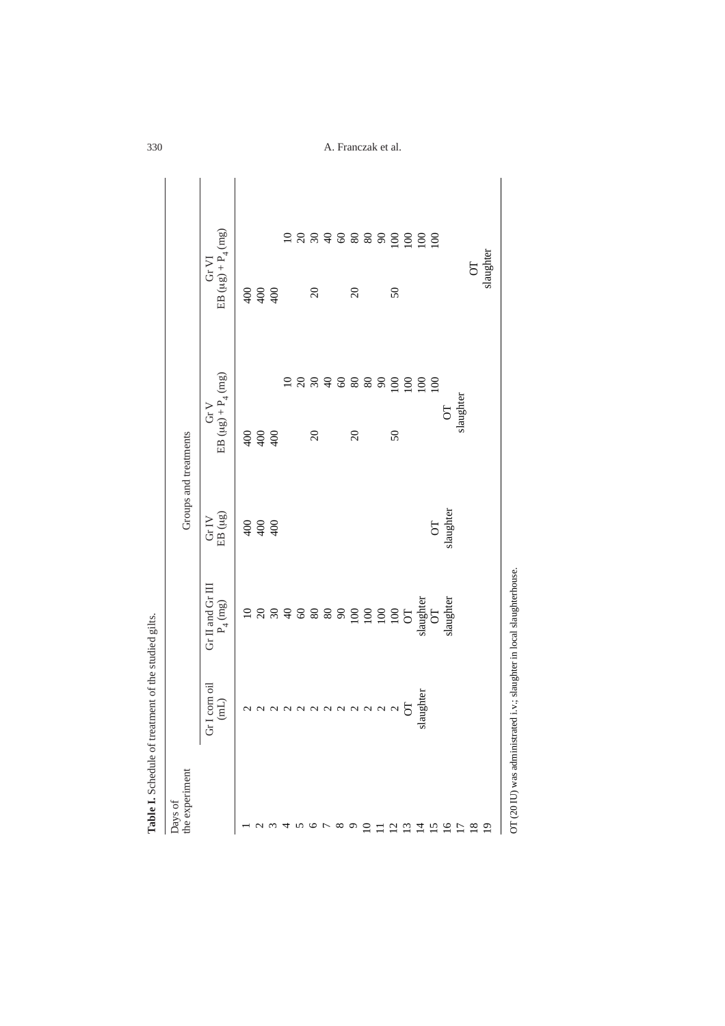| the experiment<br>Days of |                            |                                                   |                                      | Groups and treatments                       |                                |                                                      |  |
|---------------------------|----------------------------|---------------------------------------------------|--------------------------------------|---------------------------------------------|--------------------------------|------------------------------------------------------|--|
|                           | (corn oil)<br>(mL)<br>Gr I | Gr II and Gr III<br>$\mathrm{P}_4\,(\mathrm{mg})$ | $\frac{\rm Gr\,IV}{\rm EB\,}(\mu g)$ | EB ( $\mu g$ ) + P <sub>4</sub> (mg)<br>GrV |                                | EB ( $\mu g$ ) + P <sub>4</sub> (mg)<br>$\rm Gr\,VI$ |  |
|                           |                            |                                                   |                                      |                                             |                                |                                                      |  |
|                           |                            |                                                   | 6888                                 |                                             |                                |                                                      |  |
|                           | aaaaaaaaaaa $5$            |                                                   |                                      | 6880                                        |                                | 6880                                                 |  |
| 4                         |                            |                                                   |                                      |                                             |                                |                                                      |  |
|                           |                            |                                                   |                                      |                                             |                                |                                                      |  |
| <b>505</b>                |                            |                                                   |                                      | $\Omega$                                    |                                | $\Omega$                                             |  |
|                           |                            |                                                   |                                      |                                             |                                |                                                      |  |
|                           |                            |                                                   |                                      |                                             |                                |                                                      |  |
| $\infty$ $\circ$ $\infty$ |                            |                                                   |                                      | $\Omega$                                    |                                | $\overline{c}$                                       |  |
|                           |                            |                                                   |                                      |                                             |                                |                                                      |  |
|                           |                            |                                                   |                                      |                                             |                                |                                                      |  |
| $\frac{2}{13}$            |                            |                                                   |                                      | 50                                          |                                | 50                                                   |  |
|                           |                            | $\sigma$                                          |                                      |                                             | <b>E 8 8 4 6 8 8 8 9 5 5 5</b> | <b>E 8 8 4 6 8 8 8 5 5 5 5 5 6 7</b>                 |  |
| $\overline{4}$            | slaughter                  | slaughter                                         |                                      |                                             |                                |                                                      |  |
| 15                        |                            | $\overline{C}$                                    | $\overline{C}$                       |                                             | $\overline{100}$               |                                                      |  |
| $\overline{16}$           |                            | slaughter                                         | slaughter                            | $\overline{C}$                              |                                |                                                      |  |
| $\overline{1}$            |                            |                                                   |                                      | slaughter                                   |                                |                                                      |  |
| $^{18}$                   |                            |                                                   |                                      |                                             |                                | $\overline{C}$                                       |  |
| $\overline{19}$           |                            |                                                   |                                      |                                             |                                | slaughter                                            |  |

A. Franczak et al.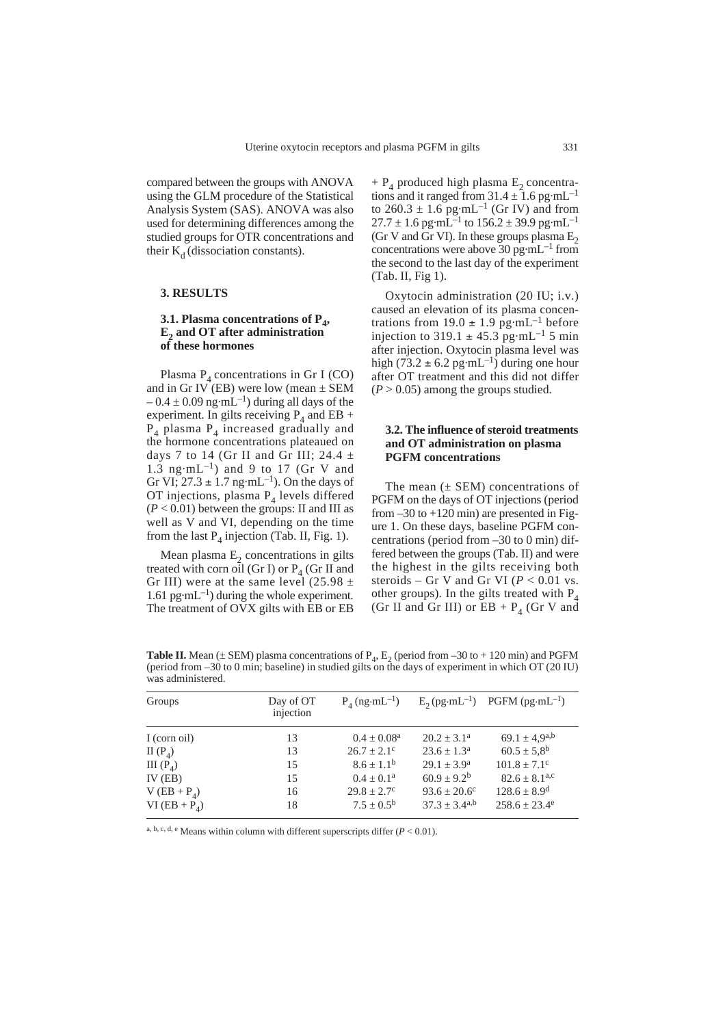compared between the groups with ANOVA using the GLM procedure of the Statistical Analysis System (SAS). ANOVA was also used for determining differences among the studied groups for OTR concentrations and their  $K_d$  (dissociation constants).

#### **3. RESULTS**

## **3.1. Plasma concentrations of P<sub>4</sub>, E2 and OT after administration of these hormones**

Plasma  $P_4$  concentrations in Gr I (CO) and in Gr IV (EB) were low (mean  $\pm$  SEM  $-0.4 \pm 0.09$  ng·mL<sup>-1</sup>) during all days of the experiment. In gilts receiving  $P_4$  and EB +  $P_4$  plasma  $P_4$  increased gradually and the hormone concentrations plateaued on days 7 to 14 (Gr II and Gr III; 24.4  $\pm$ 1.3 ng·mL<sup>-1</sup>) and 9 to 17 (Gr V and Gr VI;  $27.3 \pm 1.7$  ng·mL<sup>-1</sup>). On the days of OT injections, plasma  $P_4$  levels differed  $(P < 0.01)$  between the groups: II and III as well as V and VI, depending on the time from the last  $P_4$  injection (Tab. II, Fig. 1).

Mean plasma  $E<sub>2</sub>$  concentrations in gilts treated with corn oil (Gr I) or  $P_4$  (Gr II and Gr III) were at the same level (25.98  $\pm$ 1.61 pg·mL<sup>-1</sup>) during the whole experiment. The treatment of OVX gilts with EB or EB

 $+ P_4$  produced high plasma E<sub>2</sub> concentrations and it ranged from  $31.4 \pm 1.6$  pg·mL<sup>-1</sup> to  $260.3 \pm 1.6$  pg·mL<sup>-1</sup> (Gr IV) and from  $27.7 \pm 1.6$  pg·mL<sup>-1</sup> to  $156.2 \pm 39.9$  pg·mL<sup>-1</sup> (Gr V and Gr VI). In these groups plasma  $E<sub>2</sub>$ concentrations were above 30 pg·mL<sup>-1</sup> from the second to the last day of the experiment (Tab. II, Fig 1).

Oxytocin administration (20 IU; i.v.) caused an elevation of its plasma concentrations from  $19.0 \pm 1.9$  pg·mL<sup>-1</sup> before injection to 319.1  $\pm$  45.3 pg·mL<sup>-1</sup> 5 min after injection. Oxytocin plasma level was high (73.2  $\pm$  6.2 pg·mL<sup>-1</sup>) during one hour after OT treatment and this did not differ  $(P > 0.05)$  among the groups studied.

## **3.2. The influence of steroid treatments and OT administration on plasma PGFM concentrations**

The mean  $(\pm$  SEM) concentrations of PGFM on the days of OT injections (period from  $-30$  to  $+120$  min) are presented in Figure 1. On these days, baseline PGFM concentrations (period from –30 to 0 min) differed between the groups (Tab. II) and were the highest in the gilts receiving both steroids – Gr V and Gr VI ( $P < 0.01$  vs. other groups). In the gilts treated with  $P_4$ (Gr II and Gr III) or  $EB + P<sub>4</sub>$  (Gr V and

**Table II.** Mean ( $\pm$  SEM) plasma concentrations of  $P_4$ ,  $E_2$  (period from –30 to + 120 min) and PGFM (period from –30 to 0 min; baseline) in studied gilts on the days of experiment in which OT (20 IU) was administered.

| Groups               | Day of OT<br>injection | $P_A$ (ng·mL <sup>-1</sup> ) |                         | $E_2(pg\cdot mL^{-1})$ PGFM $(pg\cdot mL^{-1})$ |
|----------------------|------------------------|------------------------------|-------------------------|-------------------------------------------------|
| I (corn oil)         | 13                     | $0.4 \pm 0.08^a$             | $20.2 \pm 3.1^{\circ}$  | 69.1 $\pm$ 4,9a,b                               |
| II $(P_4)$           | 13                     | $26.7 + 2.1^{\circ}$         | $23.6 + 1.3a$           | $60.5 \pm 5.8^{\rm b}$                          |
| III(P <sub>A</sub> ) | 15                     | $8.6 \pm 1.1^{\rm b}$        | $29.1 + 3.9^a$          | $101.8 + 7.1^{\circ}$                           |
| IV $(EB)$            | 15                     | $0.4 + 0.1^a$                | $60.9 + 9.2^b$          | $82.6 \pm 8.1^{a,c}$                            |
| $V (EB + P4)$        | 16                     | $29.8 \pm 2.7^{\circ}$       | $93.6 \pm 20.6^{\circ}$ | $128.6 \pm 8.9$ <sup>d</sup>                    |
| VI $(EB + P_A)$      | 18                     | $7.5 + 0.5^b$                | $37.3 + 3.4^{a,b}$      | $258.6 \pm 23.4^e$                              |

a, b, c, d, e Means within column with different superscripts differ (*P* < 0.01).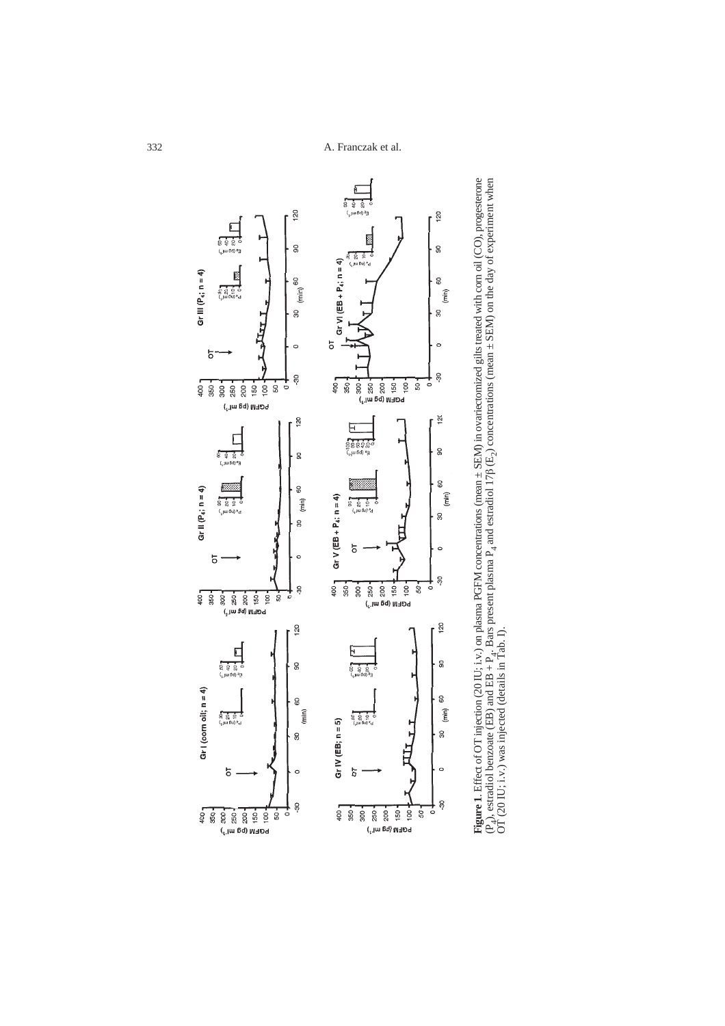

**Figure 1.** Effect of OT injection (20 IU; i.v.) on plasma PGFM concentrations (mean ± SEM) in ovariectomized gilts treated with corn oil (CO), progesterone  $(F_a)$ , estradiol benzoate (EB) and EB +  $P_4$ . Bars present plas **Figure 1**. Effect of OT injection (20 IU; i.v.) on plasma PGFM concentrations (mean ± SEM) in ovariectomized gilts treated with corn oil (CO), progesterone (P<sub>4</sub>), estradiol benzoate (EB) and EB + P<sub>4</sub>. Bars present plasma P<sub>4</sub> and estradiol 17 $\beta$  (E<sub>2</sub>) concentrations (mean  $\pm$  SEM) on the day of experiment when OT (20 IU; i.v.) was injected (details in Tab. I).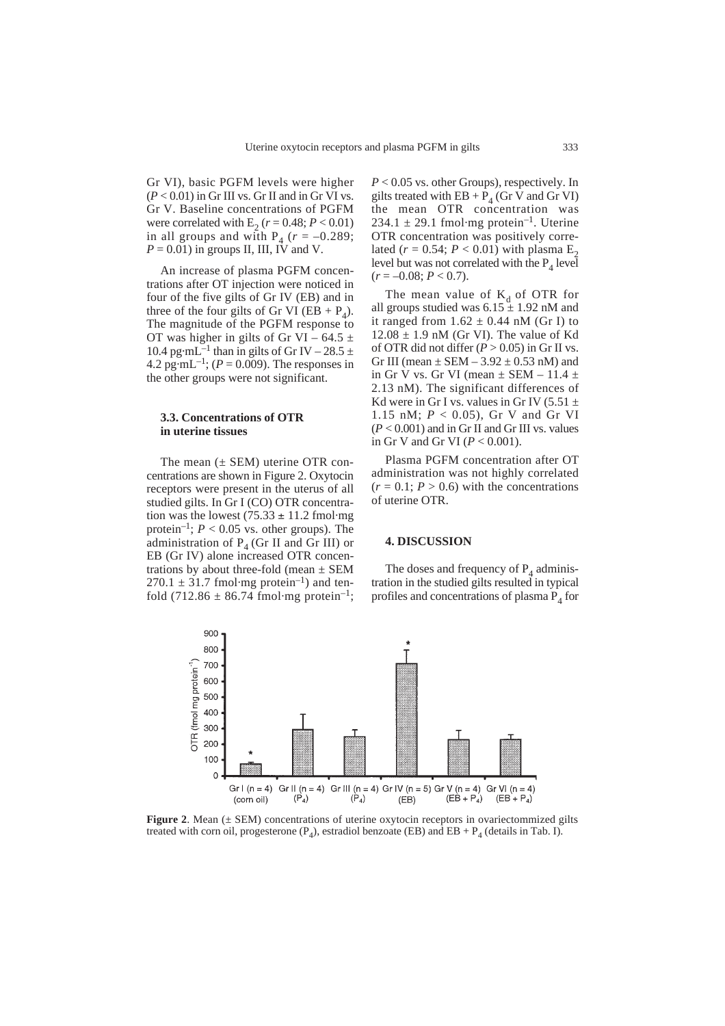Gr VI), basic PGFM levels were higher  $(P < 0.01)$  in Gr III vs. Gr II and in Gr VI vs. Gr V. Baseline concentrations of PGFM were correlated with  $E_2$  ( $r = 0.48$ ;  $P < 0.01$ ) in all groups and with  $P_4$  ( $r = -0.289$ ;  $P = 0.01$ ) in groups II, III, IV and V.

An increase of plasma PGFM concentrations after OT injection were noticed in four of the five gilts of Gr IV (EB) and in three of the four gilts of Gr VI (EB +  $P_A$ ). The magnitude of the PGFM response to OT was higher in gilts of Gr VI – 64.5  $\pm$ 10.4 pg·mL<sup>-1</sup> than in gilts of Gr IV – 28.5  $\pm$ 4.2 pg·mL<sup>-1</sup>; ( $P = 0.009$ ). The responses in the other groups were not significant.

#### **3.3. Concentrations of OTR in uterine tissues**

The mean  $(\pm$  SEM) uterine OTR concentrations are shown in Figure 2. Oxytocin receptors were present in the uterus of all studied gilts. In Gr I (CO) OTR concentration was the lowest  $(75.33 \pm 11.2 \text{ fmol·mg})$ protein<sup>-1</sup>;  $P < 0.05$  vs. other groups). The administration of  $P_4$  (Gr II and Gr III) or EB (Gr IV) alone increased OTR concentrations by about three-fold (mean  $\pm$  SEM  $270.1 \pm 31.7$  fmol·mg protein<sup>-1</sup>) and tenfold (712.86  $\pm$  86.74 fmol·mg protein<sup>-1</sup>;

*P* < 0.05 vs. other Groups), respectively. In gilts treated with  $EB + P_4$  (Gr V and Gr VI) the mean OTR concentration was 234.1  $\pm$  29.1 fmol·mg protein<sup>-1</sup>. Uterine OTR concentration was positively correlated ( $r = 0.54$ ;  $P < 0.01$ ) with plasma E<sub>2</sub> level but was not correlated with the  $P_4$  level  $(r = -0.08; P < 0.7).$ 

The mean value of  $K_d$  of OTR for all groups studied was  $6.15 \pm 1.92$  nM and it ranged from  $1.62 \pm 0.44$  nM (Gr I) to  $12.08 \pm 1.9$  nM (Gr VI). The value of Kd of OTR did not differ  $(P > 0.05)$  in Gr II vs. Gr III (mean  $\pm$  SEM – 3.92  $\pm$  0.53 nM) and in Gr V vs. Gr VI (mean  $\pm$  SEM – 11.4  $\pm$ 2.13 nM). The significant differences of Kd were in Gr I vs. values in Gr IV (5.51  $\pm$ 1.15 nM; *P* < 0.05), Gr V and Gr VI  $(P < 0.001)$  and in Gr II and Gr III vs. values in Gr V and Gr VI (*P* < 0.001).

Plasma PGFM concentration after OT administration was not highly correlated  $(r = 0.1; P > 0.6)$  with the concentrations of uterine OTR.

## **4. DISCUSSION**

The doses and frequency of  $P_4$  administration in the studied gilts resulted in typical profiles and concentrations of plasma  $P_4$  for



**Figure 2.** Mean ( $\pm$  SEM) concentrations of uterine oxytocin receptors in ovariectommized gilts treated with corn oil, progesterone (P<sub>4</sub>), estradiol benzoate (EB) and EB + P<sub>4</sub> (details in Tab. I).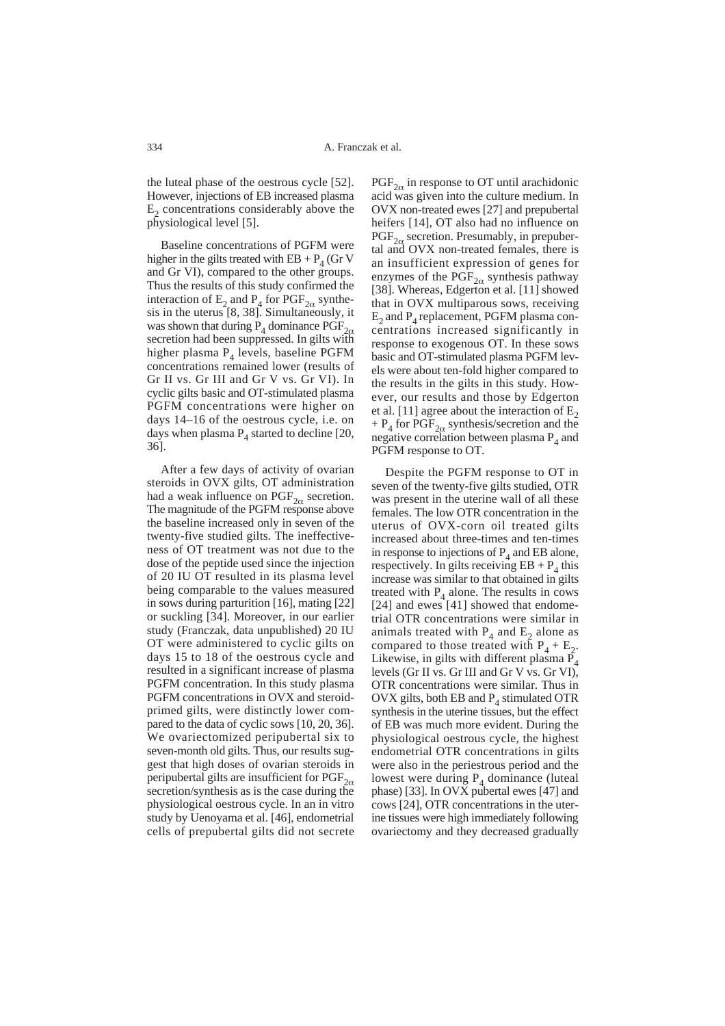the luteal phase of the oestrous cycle [52]. However, injections of EB increased plasma  $E<sub>2</sub>$  concentrations considerably above the physiological level [5].

Baseline concentrations of PGFM were higher in the gilts treated with  $EB + P<sub>4</sub>$  (Gr V and Gr VI), compared to the other groups. Thus the results of this study confirmed the interaction of  $E_2$  and  $P_4$  for  $PGF_{2\alpha}$  synthesis in the uterus [8, 38]. Simultaneously, it was shown that during  $P_4$  dominance  $PGF_{2\alpha}$ secretion had been suppressed. In gilts with higher plasma  $P<sub>4</sub>$  levels, baseline PGFM concentrations remained lower (results of Gr II vs. Gr III and Gr V vs. Gr VI). In cyclic gilts basic and OT-stimulated plasma PGFM concentrations were higher on days 14–16 of the oestrous cycle, i.e. on days when plasma  $P_4$  started to decline [20, 36].

After a few days of activity of ovarian steroids in OVX gilts, OT administration had a weak influence on  $\text{PGF}_{2\alpha}$  secretion. The magnitude of the PGFM response above the baseline increased only in seven of the twenty-five studied gilts. The ineffectiveness of OT treatment was not due to the dose of the peptide used since the injection of 20 IU OT resulted in its plasma level being comparable to the values measured in sows during parturition [16], mating [22] or suckling [34]. Moreover, in our earlier study (Franczak, data unpublished) 20 IU OT were administered to cyclic gilts on days 15 to 18 of the oestrous cycle and resulted in a significant increase of plasma PGFM concentration. In this study plasma PGFM concentrations in OVX and steroidprimed gilts, were distinctly lower compared to the data of cyclic sows [10, 20, 36]. We ovariectomized peripubertal six to seven-month old gilts. Thus, our results suggest that high doses of ovarian steroids in peripubertal gilts are insufficient for  $PGF_{2\alpha}$ secretion/synthesis as is the case during the physiological oestrous cycle. In an in vitro study by Uenoyama et al. [46], endometrial cells of prepubertal gilts did not secrete

 $PGF_{2\alpha}$  in response to OT until arachidonic acid was given into the culture medium. In OVX non-treated ewes [27] and prepubertal heifers [14], OT also had no influence on  $PGF_{2\alpha}$  secretion. Presumably, in prepubertal and OVX non-treated females, there is an insufficient expression of genes for enzymes of the  $\text{PGF}_{2\alpha}$  synthesis pathway [38]. Whereas, Edgerton et al. [11] showed that in OVX multiparous sows, receiving  $E_2$  and  $P_4$  replacement, PGFM plasma concentrations increased significantly in response to exogenous OT. In these sows basic and OT-stimulated plasma PGFM levels were about ten-fold higher compared to the results in the gilts in this study. However, our results and those by Edgerton et al. [11] agree about the interaction of  $E_2$ +  $P_4$  for PGF<sub>2 $\alpha$ </sub> synthesis/secretion and the negative correlation between plasma  $P_4$  and PGFM response to OT.

Despite the PGFM response to OT in seven of the twenty-five gilts studied, OTR was present in the uterine wall of all these females. The low OTR concentration in the uterus of OVX-corn oil treated gilts increased about three-times and ten-times in response to injections of  $P_4$  and EB alone, respectively. In gilts receiving  $EB + P_4$  this increase was similar to that obtained in gilts treated with  $P_4$  alone. The results in cows [24] and ewes [41] showed that endometrial OTR concentrations were similar in animals treated with  $P_4$  and  $E_2$  alone as compared to those treated with  $P_4 + E_2$ . Likewise, in gilts with different plasma  $\overline{P}_4$ levels (Gr II vs. Gr III and Gr V vs. Gr VI), OTR concentrations were similar. Thus in OVX gilts, both EB and  $P_4$  stimulated OTR synthesis in the uterine tissues, but the effect of EB was much more evident. During the physiological oestrous cycle, the highest endometrial OTR concentrations in gilts were also in the periestrous period and the lowest were during  $P_4$  dominance (luteal phase) [33]. In OVX pubertal ewes [47] and cows [24], OTR concentrations in the uterine tissues were high immediately following ovariectomy and they decreased gradually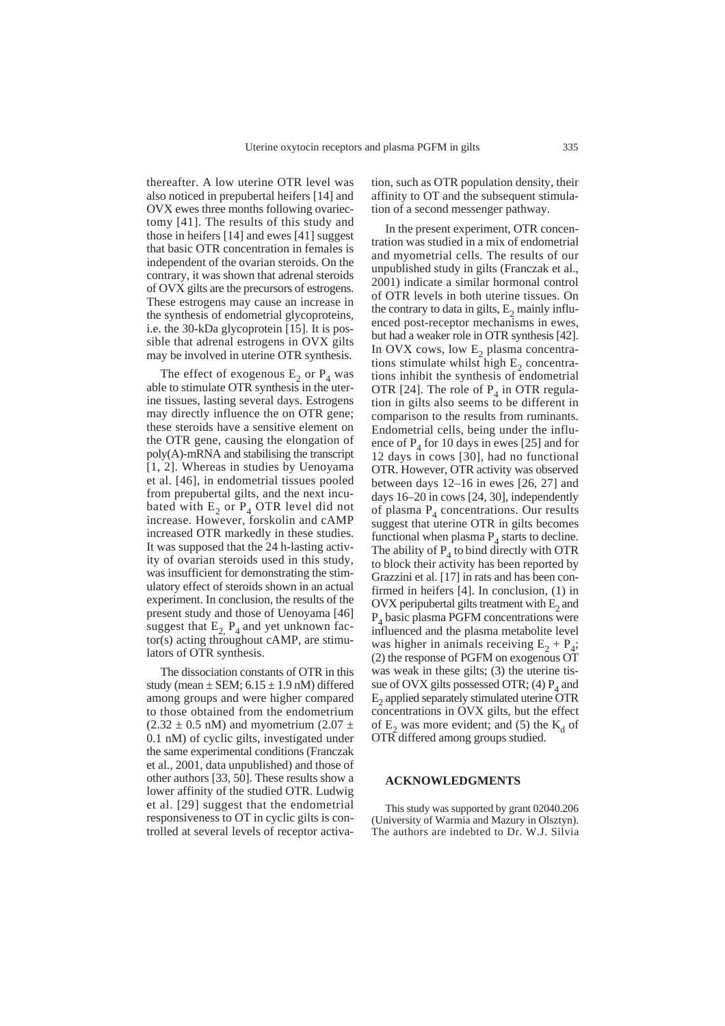thereafter. A low uterine OTR level was also noticed in prepubertal heifers [14] and OVX ewes three months following ovariectomy [41]. The results of this study and those in heifers [14] and ewes [41] suggest that basic OTR concentration in females is independent of the ovarian steroids. On the contrary, it was shown that adrenal steroids of OVX gilts are the precursors of estrogens. These estrogens may cause an increase in the synthesis of endometrial glycoproteins, i.e. the 30-kDa glycoprotein [15]. It is possible that adrenal estrogens in OVX gilts may be involved in uterine OTR synthesis.

The effect of exogenous  $E_2$  or  $P_4$  was able to stimulate OTR synthesis in the uterine tissues, lasting several days. Estrogens may directly influence the on OTR gene; these steroids have a sensitive element on the OTR gene, causing the elongation of poly(A)-mRNA and stabilising the transcript [1, 2]. Whereas in studies by Uenoyama et al. [46], in endometrial tissues pooled from prepubertal gilts, and the next incubated with  $E_2$  or  $P_4$  OTR level did not increase. However, forskolin and cAMP increased OTR markedly in these studies. It was supposed that the 24 h-lasting activity of ovarian steroids used in this study, was insufficient for demonstrating the stimulatory effect of steroids shown in an actual experiment. In conclusion, the results of the present study and those of Uenoyama [46] suggest that  $E_2$ ,  $P_4$  and yet unknown fac $tor(s)$  acting throughout cAMP, are stimulators of OTR synthesis.

The dissociation constants of OTR in this study (mean  $\pm$  SEM; 6.15  $\pm$  1.9 nM) differed among groups and were higher compared to those obtained from the endometrium  $(2.32 \pm 0.5 \text{ nM})$  and myometrium  $(2.07 \pm 1.0 \text{ m})$ 0.1 nM) of cyclic gilts, investigated under the same experimental conditions (Franczak et al., 2001, data unpublished) and those of other authors [33, 50]. These results show a lower affinity of the studied OTR. Ludwig et al. [29] suggest that the endometrial responsiveness to OT in cyclic gilts is controlled at several levels of receptor activa-

tion, such as OTR population density, their affinity to OT and the subsequent stimulation of a second messenger pathway.

In the present experiment, OTR concentration was studied in a mix of endometrial and myometrial cells. The results of our unpublished study in gilts (Franczak et al., 2001) indicate a similar hormonal control of OTR levels in both uterine tissues. On the contrary to data in gilts,  $E_2$  mainly influenced post-receptor mechanisms in ewes, but had a weaker role in OTR synthesis [42]. In OVX cows, low  $E_2$  plasma concentrations stimulate whilst high  $E<sub>2</sub>$  concentrations inhibit the synthesis of endometrial OTR [24]. The role of  $P_4$  in OTR regulation in gilts also seems to be different in comparison to the results from ruminants. Endometrial cells, being under the influence of  $P_4$  for 10 days in ewes [25] and for 12 days in cows [30], had no functional OTR. However, OTR activity was observed between days 12–16 in ewes [26, 27] and days 16–20 in cows [24, 30], independently of plasma  $P_4$  concentrations. Our results suggest that uterine OTR in gilts becomes functional when plasma  $P_4$  starts to decline. The ability of  $P_4$  to bind directly with OTR to block their activity has been reported by Grazzini et al. [17] in rats and has been confirmed in heifers [4]. In conclusion, (1) in OVX peripubertal gilts treatment with  $E<sub>2</sub>$  and  $P_4$  basic plasma PGFM concentrations were influenced and the plasma metabolite level was higher in animals receiving  $E_2 + P_4$ ; (2) the response of PGFM on exogenous OT was weak in these gilts; (3) the uterine tissue of OVX gilts possessed OTR; (4)  $P_4$  and  $E<sub>2</sub>$  applied separately stimulated uterine OTR concentrations in OVX gilts, but the effect of  $E_2$  was more evident; and (5) the  $K_d$  of OTR differed among groups studied.

## **ACKNOWLEDGMENTS**

This study was supported by grant 02040.206 (University of Warmia and Mazury in Olsztyn). The authors are indebted to Dr. W.J. Silvia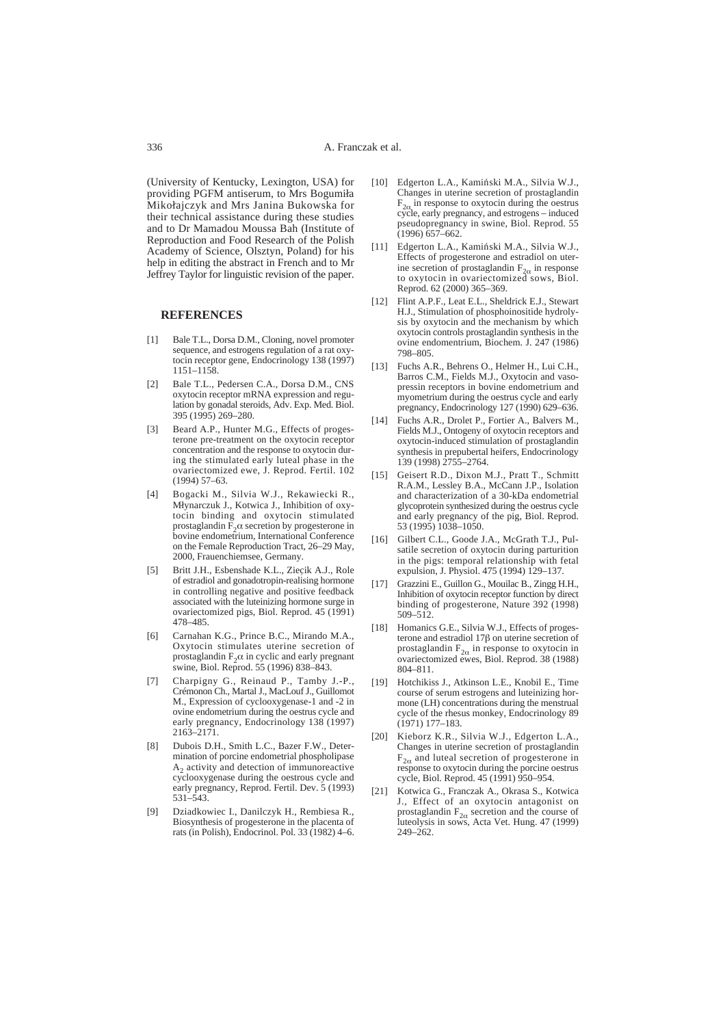(University of Kentucky, Lexington, USA) for providing PGFM antiserum, to Mrs Bogumiła Mikolajczyk and Mrs Janina Bukowska for their technical assistance during these studies and to Dr Mamadou Moussa Bah (Institute of Reproduction and Food Research of the Polish Academy of Science, Olsztyn, Poland) for his help in editing the abstract in French and to Mr Jeffrey Taylor for linguistic revision of the paper.

#### **REFERENCES**

- [1] Bale T.L., Dorsa D.M., Cloning, novel promoter sequence, and estrogens regulation of a rat oxytocin receptor gene, Endocrinology 138 (1997) 1151–1158.
- [2] Bale T.L., Pedersen C.A., Dorsa D.M., CNS oxytocin receptor mRNA expression and regulation by gonadal steroids, Adv. Exp. Med. Biol. 395 (1995) 269–280.
- [3] Beard A.P., Hunter M.G., Effects of progesterone pre-treatment on the oxytocin receptor concentration and the response to oxytocin during the stimulated early luteal phase in the ovariectomized ewe, J. Reprod. Fertil. 102 (1994) 57–63.
- [4] Bogacki M., Silvia W.J., Rekawiecki R., Młynarczuk J., Kotwica J., Inhibition of oxytocin binding and oxytocin stimulated prostaglandin  $\widetilde{F}_2\alpha$  secretion by progesterone in bovine endometrium, International Conference on the Female Reproduction Tract, 26–29 May, 2000, Frauenchiemsee, Germany.
- [5] Britt J.H., Esbenshade K.L., Ziecik A.J., Role of estradiol and gonadotropin-realising hormone in controlling negative and positive feedback associated with the luteinizing hormone surge in ovariectomized pigs, Biol. Reprod. 45 (1991) 478–485. ,
- [6] Carnahan K.G., Prince B.C., Mirando M.A., Oxytocin stimulates uterine secretion of prostaglandin  $F_2\alpha$  in cyclic and early pregnant swine, Biol. Reprod. 55 (1996) 838–843.
- [7] Charpigny G., Reinaud P., Tamby J.-P., Crémonon Ch., Martal J., MacLouf J., Guillomot M., Expression of cyclooxygenase-1 and -2 in ovine endometrium during the oestrus cycle and early pregnancy, Endocrinology 138 (1997) 2163–2171.
- [8] Dubois D.H., Smith L.C., Bazer F.W., Determination of porcine endometrial phospholipase  $A<sub>2</sub>$  activity and detection of immunoreactive cyclooxygenase during the oestrous cycle and early pregnancy, Reprod. Fertil. Dev. 5 (1993) 531–543.
- [9] Dziadkowiec I., Danilczyk H., Rembiesa R., Biosynthesis of progesterone in the placenta of rats (in Polish), Endocrinol. Pol. 33 (1982) 4–6.
- [10] Edgerton L.A., Kamiński M.A., Silvia W.J., Changes in uterine secretion of prostaglandin  $F_{2\alpha}$  in response to oxytocin during the oestrus cycle, early pregnancy, and estrogens – induced pseudopregnancy in swine, Biol. Reprod. 55  $(1996)$  657–662.
- [11] Edgerton L.A., Kamiński M.A., Silvia W.J., Effects of progesterone and estradiol on uterine secretion of prostaglandin  $F_{2\alpha}$  in response<br>to oxytocin in ovariectomized sows, Biol. Reprod. 62 (2000) 365–369.
- [12] Flint A.P.F., Leat E.L., Sheldrick E.J., Stewart H.J., Stimulation of phosphoinositide hydrolysis by oxytocin and the mechanism by which oxytocin controls prostaglandin synthesis in the ovine endomentrium, Biochem. J. 247 (1986) 798–805.
- [13] Fuchs A.R., Behrens O., Helmer H., Lui C.H., Barros C.M., Fields M.J., Oxytocin and vasopressin receptors in bovine endometrium and myometrium during the oestrus cycle and early pregnancy, Endocrinology 127 (1990) 629-636.
- [14] Fuchs A.R., Drolet P., Fortier A., Balvers M., Fields M.J., Ontogeny of oxytocin receptors and oxytocin-induced stimulation of prostaglandin synthesis in prepubertal heifers, Endocrinology 139 (1998) 2755–2764.
- [15] Geisert R.D., Dixon M.J., Pratt T., Schmitt R.A.M., Lessley B.A., McCann J.P., Isolation and characterization of a 30-kDa endometrial glycoprotein synthesized during the oestrus cycle and early pregnancy of the pig, Biol. Reprod. 53 (1995) 1038–1050.
- [16] Gilbert C.L., Goode J.A., McGrath T.J., Pulsatile secretion of oxytocin during parturition in the pigs: temporal relationship with fetal expulsion, J. Physiol. 475 (1994) 129–137.
- [17] Grazzini E., Guillon G., Mouilac B., Zingg H.H., Inhibition of oxytocin receptor function by direct binding of progesterone, Nature 392 (1998) 509–512.
- [18] Homanics G.E., Silvia W.J., Effects of progesterone and estradiol  $17\beta$  on uterine secretion of prostaglandin  $F_{2\alpha}$  in response to oxytocin in ovariectomized ewes, Biol. Reprod. 38 (1988) 804–811.
- [19] Hotchikiss J., Atkinson L.E., Knobil E., Time course of serum estrogens and luteinizing hormone (LH) concentrations during the menstrual cycle of the rhesus monkey, Endocrinology 89 (1971) 177–183.
- [20] Kieborz K.R., Silvia W.J., Edgerton L.A., Changes in uterine secretion of prostaglandin  $F_{2\alpha}$  and luteal secretion of progesterone in response to oxytocin during the porcine oestrus cycle, Biol. Reprod. 45 (1991) 950–954.
- [21] Kotwica G., Franczak A., Okrasa S., Kotwica J., Effect of an oxytocin antagonist on prostaglandin  $F_{2\alpha}$  secretion and the course of luteolysis in sows, Acta Vet. Hung. 47 (1999) 249–262.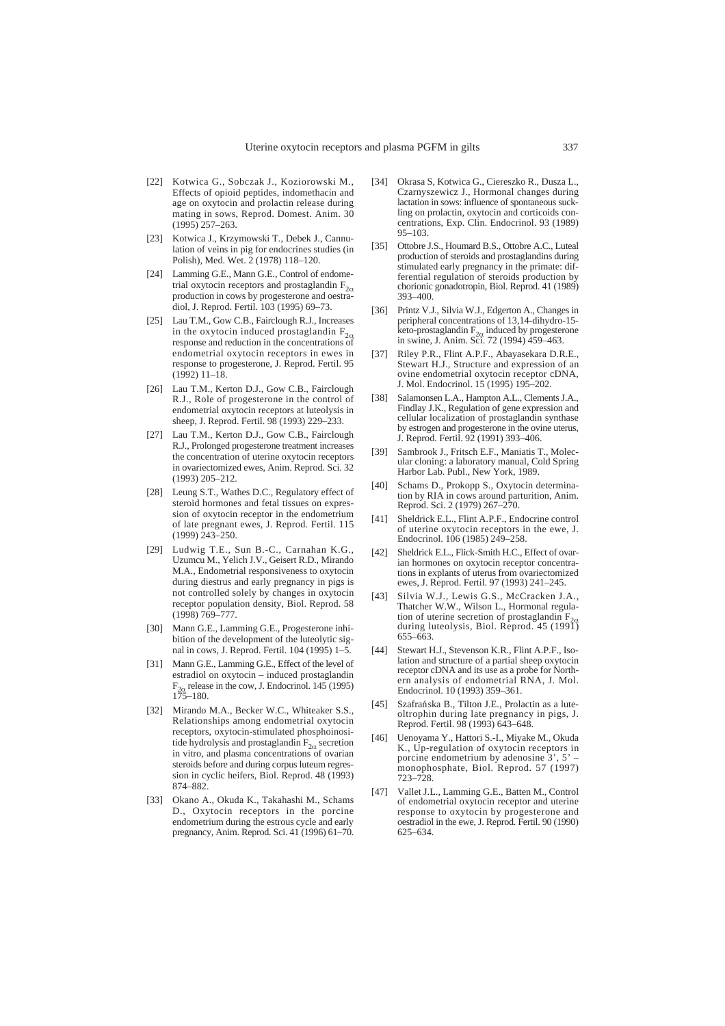- [22] Kotwica G., Sobczak J., Koziorowski M., Effects of opioid peptides, indomethacin and age on oxytocin and prolactin release during mating in sows, Reprod. Domest. Anim. 30 (1995) 257–263.
- [23] Kotwica J., Krzymowski T., Debek J., Cannulation of veins in pig for endocrines studies (in Polish), Med. Wet. 2 (1978) 118–120.
- [24] Lamming G.E., Mann G.E., Control of endometrial oxytocin receptors and prostaglandin  $F_{2\alpha}$ production in cows by progesterone and oestradiol, J. Reprod. Fertil. 103 (1995) 69–73.
- [25] Lau T.M., Gow C.B., Fairclough R.J., Increases in the oxytocin induced prostaglandin  $F_{2\alpha}$  response and reduction in the concentrations of endometrial oxytocin receptors in ewes in response to progesterone, J. Reprod. Fertil. 95 (1992) 11–18.
- [26] Lau T.M., Kerton D.J., Gow C.B., Fairclough R.J., Role of progesterone in the control of endometrial oxytocin receptors at luteolysis in sheep, J. Reprod. Fertil. 98 (1993) 229–233.
- [27] Lau T.M., Kerton D.J., Gow C.B., Fairclough R.J., Prolonged progesterone treatment increases the concentration of uterine oxytocin receptors in ovariectomized ewes, Anim. Reprod. Sci. 32 (1993) 205–212.
- [28] Leung S.T., Wathes D.C., Regulatory effect of steroid hormones and fetal tissues on expression of oxytocin receptor in the endometrium of late pregnant ewes, J. Reprod. Fertil. 115 (1999) 243–250.
- [29] Ludwig T.E., Sun B.-C., Carnahan K.G., Uzumcu M., Yelich J.V., Geisert R.D., Mirando M.A., Endometrial responsiveness to oxytocin during diestrus and early pregnancy in pigs is not controlled solely by changes in oxytocin receptor population density, Biol. Reprod. 58 (1998) 769–777.
- [30] Mann G.E., Lamming G.E., Progesterone inhibition of the development of the luteolytic signal in cows, J. Reprod. Fertil. 104 (1995) 1–5.
- [31] Mann G.E., Lamming G.E., Effect of the level of estradiol on oxytocin – induced prostaglandin  $F_{2\alpha}$  release in the cow, J. Endocrinol. 145 (1995) 175–180.
- [32] Mirando M.A., Becker W.C., Whiteaker S.S., Relationships among endometrial oxytocin receptors, oxytocin-stimulated phosphoinositide hydrolysis and prostaglandin  $F_{2\alpha}$  secretion in vitro, and plasma concentrations of ovarian steroids before and during corpus luteum regression in cyclic heifers, Biol. Reprod. 48 (1993) 874–882.
- [33] Okano A., Okuda K., Takahashi M., Schams D., Oxytocin receptors in the porcine endometrium during the estrous cycle and early pregnancy, Anim. Reprod. Sci. 41 (1996) 61–70.
- [34] Okrasa S, Kotwica G., Ciereszko R., Dusza L., Czarnyszewicz J., Hormonal changes during lactation in sows: influence of spontaneous suckling on prolactin, oxytocin and corticoids concentrations, Exp. Clin. Endocrinol. 93 (1989) 95–103.
- [35] Ottobre J.S., Houmard B.S., Ottobre A.C., Luteal production of steroids and prostaglandins during stimulated early pregnancy in the primate: differential regulation of steroids production by chorionic gonadotropin, Biol. Reprod. 41 (1989) 393–400.
- [36] Printz V.J., Silvia W.J., Edgerton A., Changes in peripheral concentrations of 13,14-dihydro-15 keto-prostaglandin  $F_{2\alpha}$  induced by progesterone<br>in swine, J. Anim. Sci. 72 (1994) 459–463.
- [37] Riley P.R., Flint A.P.F., Abayasekara D.R.E., Stewart H.J., Structure and expression of an ovine endometrial oxytocin receptor cDNA, J. Mol. Endocrinol. 15 (1995) 195–202.
- [38] Salamonsen L.A., Hampton A.L., Clements J.A., Findlay J.K., Regulation of gene expression and cellular localization of prostaglandin synthase by estrogen and progesterone in the ovine uterus, J. Reprod. Fertil. 92 (1991) 393–406.
- [39] Sambrook J., Fritsch E.F., Maniatis T., Molecular cloning: a laboratory manual, Cold Spring Harbor Lab. Publ., New York, 1989.
- [40] Schams D., Prokopp S., Oxytocin determination by RIA in cows around parturition, Anim. Reprod. Sci. 2 (1979) 267–270.
- [41] Sheldrick E.L., Flint A.P.F., Endocrine control of uterine oxytocin receptors in the ewe, J. Endocrinol. 106 (1985) 249-258.
- [42] Sheldrick E.L., Flick-Smith H.C., Effect of ovarian hormones on oxytocin receptor concentrations in explants of uterus from ovariectomized ewes, J. Reprod. Fertil. 97 (1993) 241–245.
- [43] Silvia W.J., Lewis G.S., McCracken J.A., Thatcher W.W., Wilson L., Hormonal regulation of uterine secretion of prostaglandin  $F_{2\alpha}$  during luteolysis, Biol. Reprod. 45 (1991) 655–663.
- [44] Stewart H.J., Stevenson K.R., Flint A.P.F., Isolation and structure of a partial sheep oxytocin receptor cDNA and its use as a probe for Northern analysis of endometrial RNA, J. Mol. Endocrinol. 10 (1993) 359–361.
- [45] Szafrańska B., Tilton J.E., Prolactin as a luteoltrophin during late pregnancy in pigs, J. Reprod. Fertil. 98 (1993) 643–648.
- [46] Uenoyama Y., Hattori S.-I., Miyake M., Okuda K., Up-regulation of oxytocin receptors in porcine endometrium by adenosine  $3', 5'$ monophosphate, Biol. Reprod. 57 (1997) 723–728.
- [47] Vallet J.L., Lamming G.E., Batten M., Control of endometrial oxytocin receptor and uterine response to oxytocin by progesterone and oestradiol in the ewe, J. Reprod. Fertil. 90 (1990) 625–634.